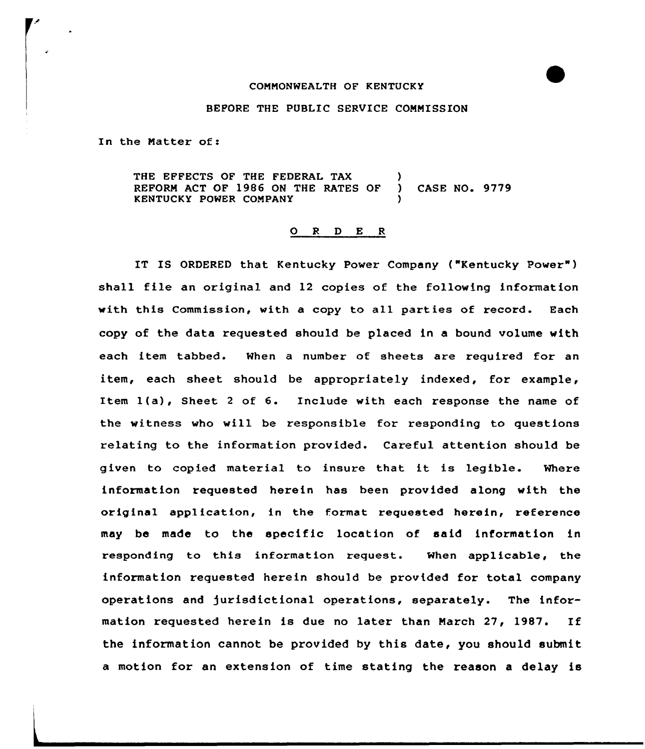## COMMONWEALTH OF KENTUCKY

### BEFORE THE PUBLIC SERVICE COMMISSION

In the Natter of:

THE EFFECTS OF THE FEDERAL TAX REFORM ACT OF 1986 ON THE RATES OF ) CASE NO. 9779 KENTUCKY POWER COMPANY

# 0 <sup>R</sup> <sup>D</sup> E <sup>R</sup>

IT IS ORDERED that Kentucky Power Company ("Kentucky Power" ) shall file an oxiginal and 12 copies of the following information with this Commission, with a copy to all parties of zecord. Each copy of the data requested should be placed in e bound volume with each item tabbed. When a number of sheets are required for an item, each sheet should be appropziately indexed, fox example, Item 1(a), Sheet <sup>2</sup> of 6. Include with each response the name of the witness who will be responsible for responding to questions relating to the information provided. Careful attention should be given to copied material to insure that it is legible. Where information xequested herein has been pxovided along with the oziginel application, in the format requested herein, reference may be made to the specific location of said information in responding to this information request. When applicable, the information requested herein should be provided for total company operations and Jurisdictional operations, separately. The information xequested herein is due no later than March 27, 1987. If the information cannot be provided by this date, you should submit a motion for an extension of time stating the reason a delay is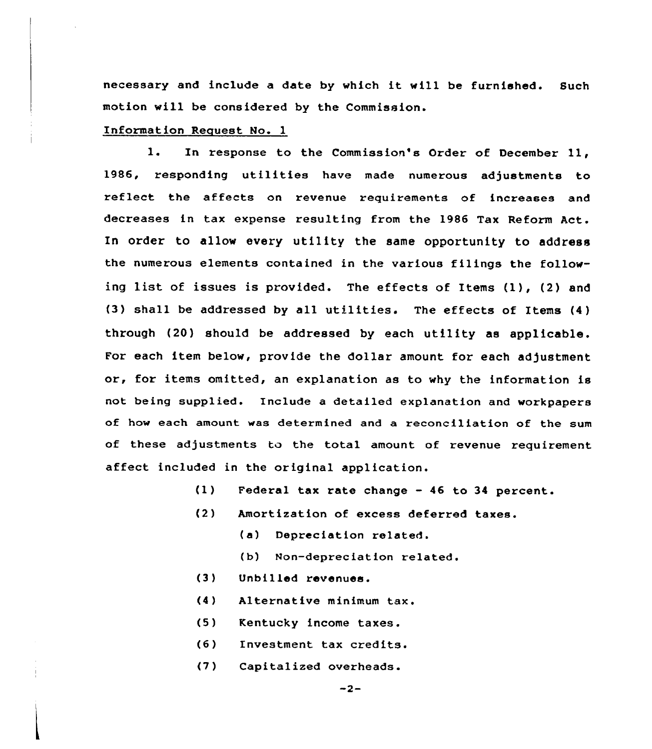necessary and include <sup>a</sup> date by which it will be furnished. Such motion will be considered by the Commission.

## Information Request No. 1

l. In response to the Commission's Order of December 11, 1986, responding utilities have made numerous adjustments to reflect the affects on revenue requirements of increases and decreases in tax expense resulting from the 1986 Tax Reform Act. In order to allow every utility the same opportunity to address the numerous elements contained in the various filings the following list of issues is provided. The effects of Items (1), (2) and (3) shall be addressed by all utilities. The effects of Items  $(4)$ through (20) should be addressed by each utility as applicable. For each item below, provide the dollar amount for each adjustment or, for items omitted, an explanation as to why the information is not being supplied. Include a detailed explanation and workpapers of how each amount was determined and a reconciliation of the sum of these adjustments to the total amount of revenue requirement affect included in the original application.

- (1) Federal tax rate change 46 to 34 percent.
- $(2)$ Amortization of excess deferred taxes.
	- (a) Depreciation related.
	- (b) Non-depreciation related.
- (3) Unbilled revenues.
- (4) Alternative minimum tax,
- (5) Kentucky income taxes.
- $(6)$ Investment tax credits.
- $(7)$ Capitalized overheads.

 $-2-$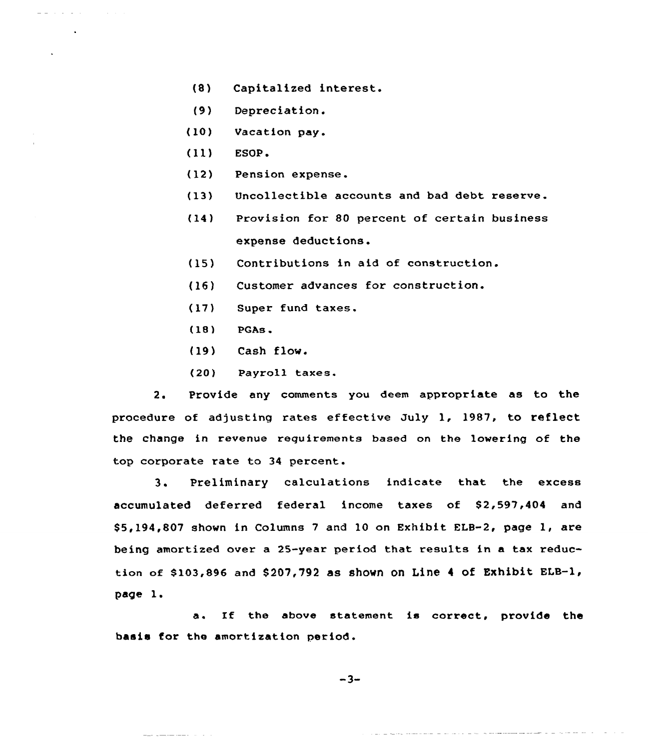- (8) Capitalized interest.
- {9) Depreciation.
- (10) Vacation pay.
- (ll) ESOP.

a a che della

- (12) Pension expense.
- (13) Uncollectible accounts and bad debt reserve.
- {14) Provision for 80 percent of certain business expense deductions.
- {15) Contributions in aid of construction.
- (16) Customer advances for construction.
- (17) Super fund taxes.
- (18) PQAs.
- (19) Cash flow.
- (20) Payroll taxes.

2. Provide any comments you deem appropriate as to the procedure of adjusting rates effective July 1, 1987, to reflect the change in revenue requirements based on the lowering of the top corporate rate to 34 percent.

3. Preliminary calculations indicate that the excess accumulated deferred federal income taxes of \$2,597,404 and \$5,194,807 shown in Columns 7 and 10 on Exhibit ELB-2, page 1, are being amortized over a 25-year period that results in a tax reduction of \$103,896 and \$207,792 as shown on Line 4 of Exhibit ELB-1, page 1.

a. If the above statement is correct, provide the basis for the amortization period.

$$
-3-
$$

<u> 1965 - Andre Mandelson, Amerikaansk politiker (de formatsk politiker (de formatsk politiker (de formatsk poli</u>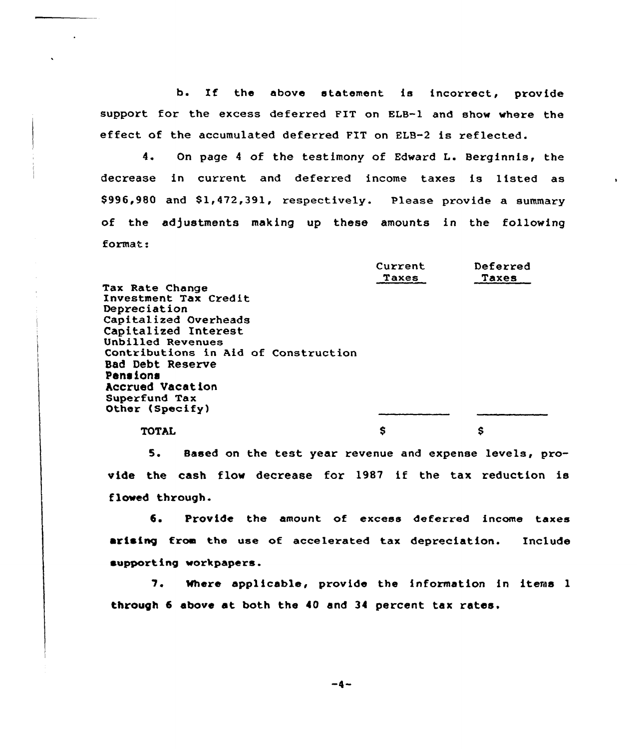b. If the above statement is incorrect, provide support for the excess deferred FIT on ELB-1 and show where the effect of the accumulated deferred FIT on ELB-2 is reflected.

4. On page <sup>4</sup> of the testimony of Edward L. Berginnis, the decrease in current and deferred income taxes is listed as \$ 996,980 and S1,472,391, xespectively. Please provide a summary of the adjustments making up these amounts in the following format:

|                                      | CULLERL      | Delected |
|--------------------------------------|--------------|----------|
|                                      | <b>Taxes</b> | Taxes    |
| <b>Tax Rate Change</b>               |              |          |
| Investment Tax Credit                |              |          |
| Depreciation                         |              |          |
| Capitalized Overheads                |              |          |
| Capitalized Interest                 |              |          |
| Unbilled Revenues                    |              |          |
| Contributions in Aid of Construction |              |          |
| <b>Bad Debt Reserve</b>              |              |          |
| Pensions                             |              |          |
| <b>Accrued Vacation</b>              |              |          |
| Superfund Tax                        |              |          |
| Other (Specify)                      |              |          |
| <b>TOTAL</b>                         |              | s        |

TOTAL

Deferred

Current and the contract of the contract of the contract of the contract of the contract of the contract of the contract of the contract of the contract of the contract of the contract of the contract of the contract of th

5. Based on the test year revenue and expense levels, provide the cash flow decrease for 1987 if the tax reduction is flowed through.

6. Provide the amount of excess deferred income taxes arising from the use of accelerated tax depreciation. Include supporting workpapers.

7. Where applicable, provide the information in items 1 through 6 above at both the 40 and 34 percent tax rates.